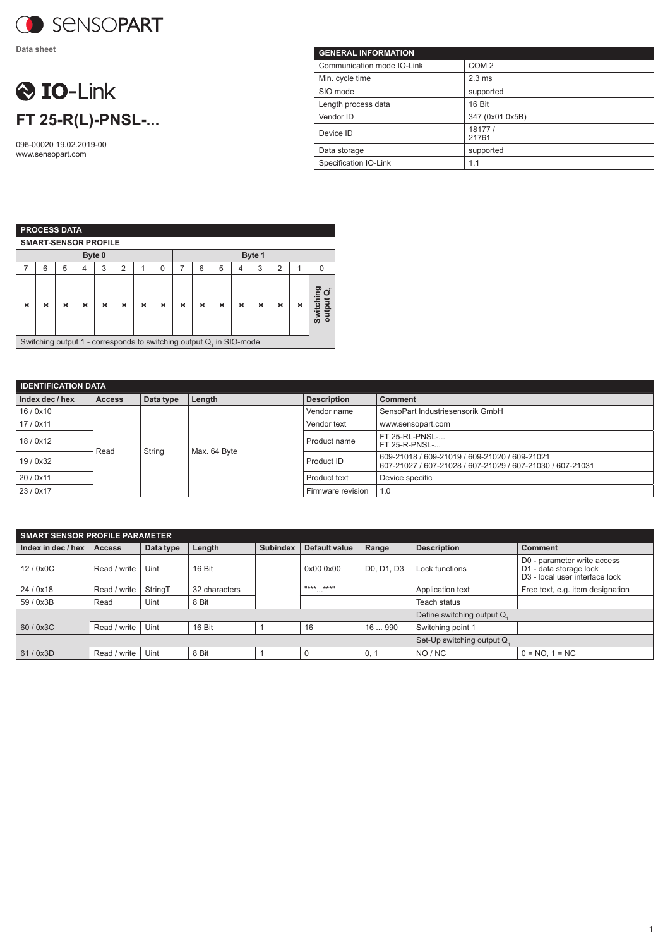

**Data sheet**

## **O** IO-Link **FT 25-R(L)-PNSL-...**

096-00020 19.02.2019-00 www.sensopart.com

| <b>GENERAL INFORMATION</b> |                  |
|----------------------------|------------------|
| Communication mode IO-Link | COM <sub>2</sub> |
| Min. cycle time            | $2.3 \text{ ms}$ |
| SIO mode                   | supported        |
| Length process data        | 16 Bit           |
| Vendor ID                  | 347 (0x01 0x5B)  |
| Device ID                  | 18177 /<br>21761 |
| Data storage               | supported        |
| Specification IO-Link      | 1.1              |

| <b>PROCESS DATA</b>                                                                                                                          |                                                                     |   |   |   |   |  |          |        |   |   |   |   |                |   |          |
|----------------------------------------------------------------------------------------------------------------------------------------------|---------------------------------------------------------------------|---|---|---|---|--|----------|--------|---|---|---|---|----------------|---|----------|
|                                                                                                                                              | <b>SMART-SENSOR PROFILE</b>                                         |   |   |   |   |  |          |        |   |   |   |   |                |   |          |
| Byte 0                                                                                                                                       |                                                                     |   |   |   |   |  |          | Byte 1 |   |   |   |   |                |   |          |
| 7                                                                                                                                            | 6                                                                   | 5 | 4 | 3 | 2 |  | $\Omega$ | 7      | 6 | 5 | 4 | 3 | $\overline{2}$ | 1 | $\Omega$ |
| ဥ<br>O<br>Switchir<br>output (<br>$\times$<br>$\times$<br>×<br>×<br>$\times$<br>×<br>×<br>×<br>$\times$<br>×<br>×<br>×<br>×<br>$\times$<br>× |                                                                     |   |   |   |   |  |          |        |   |   |   |   |                |   |          |
|                                                                                                                                              | Switching output 1 - corresponds to switching output Q, in SIO-mode |   |   |   |   |  |          |        |   |   |   |   |                |   |          |

Switching output 1 - corresponds to switching output Q<sub>1</sub> in SIO-mode

| <b>IDENTIFICATION DATA</b> |                |           |              |  |                    |                                                                                                            |  |  |
|----------------------------|----------------|-----------|--------------|--|--------------------|------------------------------------------------------------------------------------------------------------|--|--|
| Index dec / hex            | <b>Access</b>  | Data type | Length       |  | <b>Description</b> | <b>Comment</b>                                                                                             |  |  |
| 16/0x10                    |                |           |              |  | Vendor name        | SensoPart Industriesensorik GmbH                                                                           |  |  |
| 17/0x11                    | String<br>Read |           | Max. 64 Byte |  | Vendor text        | www.sensopart.com                                                                                          |  |  |
| 18/0x12                    |                |           |              |  | Product name       | FT 25-RL-PNSL-<br>FT 25-R-PNSL-                                                                            |  |  |
| 19/0x32                    |                |           |              |  | Product ID         | 609-21018 / 609-21019 / 609-21020 / 609-21021<br>607-21027 / 607-21028 / 607-21029 / 607-21030 / 607-21031 |  |  |
| 20 / 0x11                  |                |           |              |  | Product text       | Device specific                                                                                            |  |  |
| 23 / 0x17                  |                |           |              |  | Firmware revision  | 1.0                                                                                                        |  |  |

| <b>SMART SENSOR PROFILE PARAMETER</b> |               |           |               |                            |                         |            |                            |                                                                                                     |  |
|---------------------------------------|---------------|-----------|---------------|----------------------------|-------------------------|------------|----------------------------|-----------------------------------------------------------------------------------------------------|--|
| Index in dec / hex                    | <b>Access</b> | Data type | Length        | <b>Subindex</b>            | Default value           | Range      | <b>Description</b>         | Comment                                                                                             |  |
| 12/0x0C                               | Read / write  | Uint      | 16 Bit        |                            | 0x00 0x00               | D0, D1, D3 | Lock functions             | D0 - parameter write access<br>D1 - data storage lock<br>D <sub>3</sub> - local user interface lock |  |
| 24/0x18                               | Read / write  | StringT   | 32 characters |                            | $"***$ ***"<br>$\cdots$ |            | Application text           | Free text, e.g. item designation                                                                    |  |
| 59 / 0x3B                             | Read          | Uint      | 8 Bit         |                            |                         |            | Teach status               |                                                                                                     |  |
|                                       |               |           |               |                            |                         |            | Define switching output Q. |                                                                                                     |  |
| 60/0x3C                               | Read / write  | Uint      | 16 Bit        |                            | 16                      | 16  990    | Switching point 1          |                                                                                                     |  |
|                                       |               |           |               | Set-Up switching output Q. |                         |            |                            |                                                                                                     |  |
| 61/0x3D                               | Read / write  | Uint      | 8 Bit         |                            |                         | 0, 1       | NO / NC                    | $0 = NO. 1 = NC$                                                                                    |  |